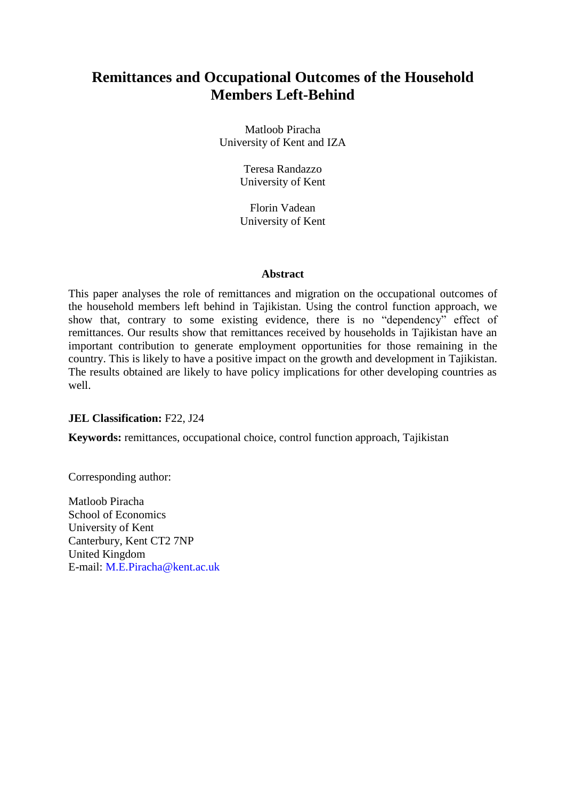# **Remittances and Occupational Outcomes of the Household Members Left-Behind**

Matloob Piracha University of Kent and IZA

> Teresa Randazzo University of Kent

Florin Vadean University of Kent

#### **Abstract**

This paper analyses the role of remittances and migration on the occupational outcomes of the household members left behind in Tajikistan. Using the control function approach, we show that, contrary to some existing evidence, there is no "dependency" effect of remittances. Our results show that remittances received by households in Tajikistan have an important contribution to generate employment opportunities for those remaining in the country. This is likely to have a positive impact on the growth and development in Tajikistan. The results obtained are likely to have policy implications for other developing countries as well.

## **JEL Classification:** F22, J24

**Keywords:** remittances, occupational choice, control function approach, Tajikistan

Corresponding author:

Matloob Piracha School of Economics University of Kent Canterbury, Kent CT2 7NP United Kingdom E-mail: M.E.Piracha@kent.ac.uk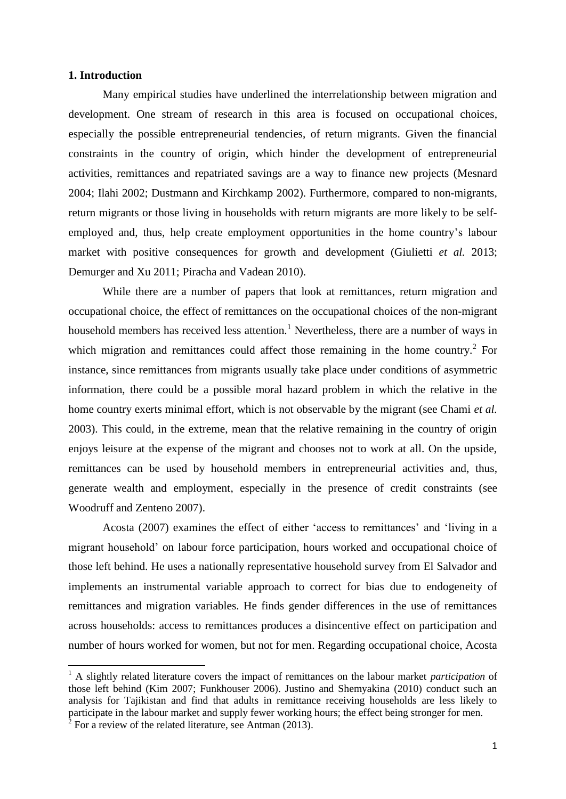#### **1. Introduction**

 $\overline{\phantom{a}}$ 

Many empirical studies have underlined the interrelationship between migration and development. One stream of research in this area is focused on occupational choices, especially the possible entrepreneurial tendencies, of return migrants. Given the financial constraints in the country of origin, which hinder the development of entrepreneurial activities, remittances and repatriated savings are a way to finance new projects (Mesnard 2004; Ilahi 2002; Dustmann and Kirchkamp 2002). Furthermore, compared to non-migrants, return migrants or those living in households with return migrants are more likely to be selfemployed and, thus, help create employment opportunities in the home country's labour market with positive consequences for growth and development (Giulietti *et al.* 2013; Demurger and Xu 2011; Piracha and Vadean 2010).

While there are a number of papers that look at remittances, return migration and occupational choice, the effect of remittances on the occupational choices of the non-migrant household members has received less attention.<sup>1</sup> Nevertheless, there are a number of ways in which migration and remittances could affect those remaining in the home country.<sup>2</sup> For instance, since remittances from migrants usually take place under conditions of asymmetric information, there could be a possible moral hazard problem in which the relative in the home country exerts minimal effort, which is not observable by the migrant (see Chami *et al.* 2003). This could, in the extreme, mean that the relative remaining in the country of origin enjoys leisure at the expense of the migrant and chooses not to work at all. On the upside, remittances can be used by household members in entrepreneurial activities and, thus, generate wealth and employment, especially in the presence of credit constraints (see Woodruff and Zenteno 2007).

Acosta (2007) examines the effect of either 'access to remittances' and 'living in a migrant household' on labour force participation, hours worked and occupational choice of those left behind. He uses a nationally representative household survey from El Salvador and implements an instrumental variable approach to correct for bias due to endogeneity of remittances and migration variables. He finds gender differences in the use of remittances across households: access to remittances produces a disincentive effect on participation and number of hours worked for women, but not for men. Regarding occupational choice, Acosta

<sup>1</sup> A slightly related literature covers the impact of remittances on the labour market *participation* of those left behind (Kim 2007; Funkhouser 2006). Justino and Shemyakina (2010) conduct such an analysis for Tajikistan and find that adults in remittance receiving households are less likely to participate in the labour market and supply fewer working hours; the effect being stronger for men. <sup>2</sup> For a review of the related literature, see Antman (2013).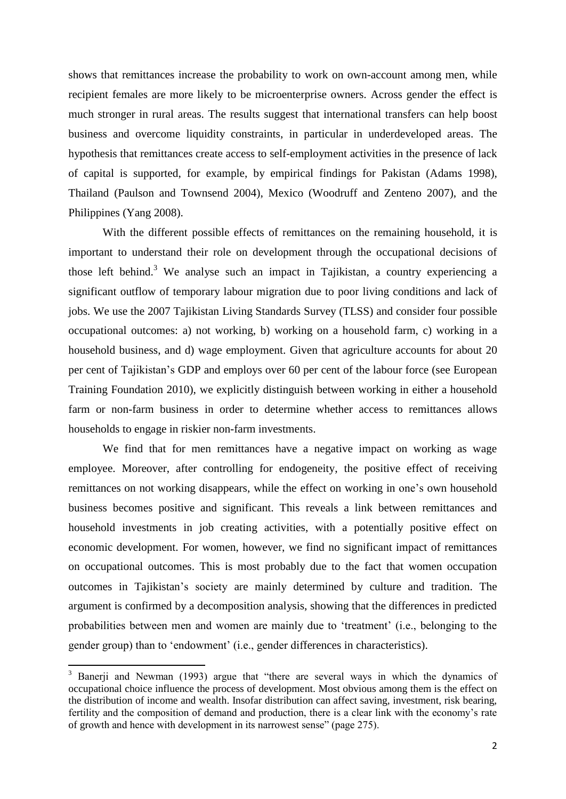shows that remittances increase the probability to work on own-account among men, while recipient females are more likely to be microenterprise owners. Across gender the effect is much stronger in rural areas. The results suggest that international transfers can help boost business and overcome liquidity constraints, in particular in underdeveloped areas. The hypothesis that remittances create access to self-employment activities in the presence of lack of capital is supported, for example, by empirical findings for Pakistan (Adams 1998), Thailand (Paulson and Townsend 2004), Mexico (Woodruff and Zenteno 2007), and the Philippines (Yang 2008).

With the different possible effects of remittances on the remaining household, it is important to understand their role on development through the occupational decisions of those left behind.<sup>3</sup> We analyse such an impact in Tajikistan, a country experiencing a significant outflow of temporary labour migration due to poor living conditions and lack of jobs. We use the 2007 Tajikistan Living Standards Survey (TLSS) and consider four possible occupational outcomes: a) not working, b) working on a household farm, c) working in a household business, and d) wage employment. Given that agriculture accounts for about 20 per cent of Tajikistan's GDP and employs over 60 per cent of the labour force (see European Training Foundation 2010), we explicitly distinguish between working in either a household farm or non-farm business in order to determine whether access to remittances allows households to engage in riskier non-farm investments.

We find that for men remittances have a negative impact on working as wage employee. Moreover, after controlling for endogeneity, the positive effect of receiving remittances on not working disappears, while the effect on working in one's own household business becomes positive and significant. This reveals a link between remittances and household investments in job creating activities, with a potentially positive effect on economic development. For women, however, we find no significant impact of remittances on occupational outcomes. This is most probably due to the fact that women occupation outcomes in Tajikistan's society are mainly determined by culture and tradition. The argument is confirmed by a decomposition analysis, showing that the differences in predicted probabilities between men and women are mainly due to 'treatment' (i.e., belonging to the gender group) than to 'endowment' (i.e., gender differences in characteristics).

 $\overline{\phantom{a}}$ 

<sup>&</sup>lt;sup>3</sup> Banerji and Newman (1993) argue that "there are several ways in which the dynamics of occupational choice influence the process of development. Most obvious among them is the effect on the distribution of income and wealth. Insofar distribution can affect saving, investment, risk bearing, fertility and the composition of demand and production, there is a clear link with the economy's rate of growth and hence with development in its narrowest sense" (page 275).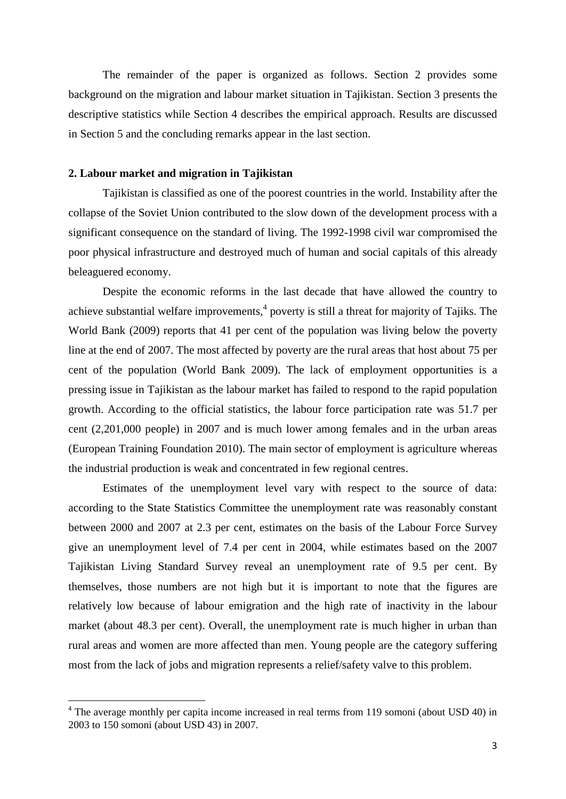The remainder of the paper is organized as follows. Section 2 provides some background on the migration and labour market situation in Tajikistan. Section 3 presents the descriptive statistics while Section 4 describes the empirical approach. Results are discussed in Section 5 and the concluding remarks appear in the last section.

#### **2. Labour market and migration in Tajikistan**

 $\overline{\phantom{a}}$ 

Tajikistan is classified as one of the poorest countries in the world. Instability after the collapse of the Soviet Union contributed to the slow down of the development process with a significant consequence on the standard of living. The 1992-1998 civil war compromised the poor physical infrastructure and destroyed much of human and social capitals of this already beleaguered economy.

Despite the economic reforms in the last decade that have allowed the country to achieve substantial welfare improvements, 4 poverty is still a threat for majority of Tajiks. The World Bank (2009) reports that 41 per cent of the population was living below the poverty line at the end of 2007. The most affected by poverty are the rural areas that host about 75 per cent of the population (World Bank 2009). The lack of employment opportunities is a pressing issue in Tajikistan as the labour market has failed to respond to the rapid population growth. According to the official statistics, the labour force participation rate was 51.7 per cent (2,201,000 people) in 2007 and is much lower among females and in the urban areas (European Training Foundation 2010). The main sector of employment is agriculture whereas the industrial production is weak and concentrated in few regional centres.

Estimates of the unemployment level vary with respect to the source of data: according to the State Statistics Committee the unemployment rate was reasonably constant between 2000 and 2007 at 2.3 per cent, estimates on the basis of the Labour Force Survey give an unemployment level of 7.4 per cent in 2004, while estimates based on the 2007 Tajikistan Living Standard Survey reveal an unemployment rate of 9.5 per cent. By themselves, those numbers are not high but it is important to note that the figures are relatively low because of labour emigration and the high rate of inactivity in the labour market (about 48.3 per cent). Overall, the unemployment rate is much higher in urban than rural areas and women are more affected than men. Young people are the category suffering most from the lack of jobs and migration represents a relief/safety valve to this problem.

<sup>&</sup>lt;sup>4</sup> The average monthly per capita income increased in real terms from 119 somoni (about USD 40) in 2003 to 150 somoni (about USD 43) in 2007.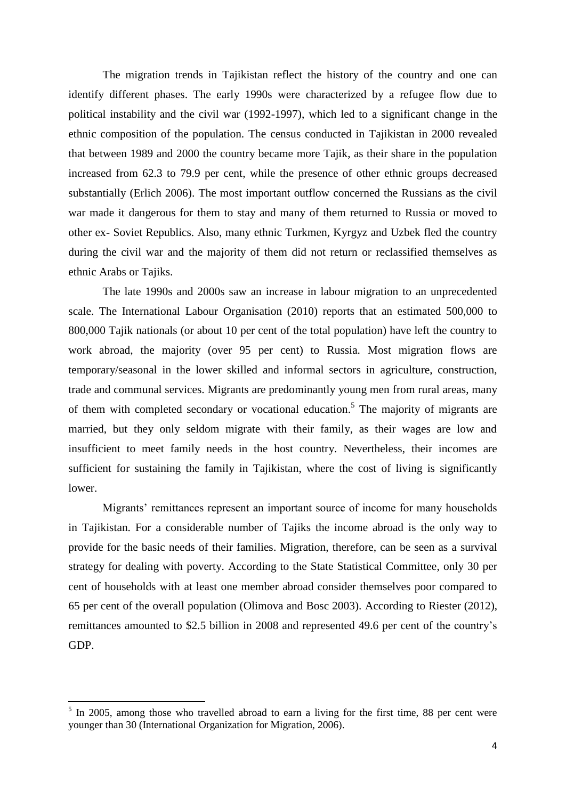The migration trends in Tajikistan reflect the history of the country and one can identify different phases. The early 1990s were characterized by a refugee flow due to political instability and the civil war (1992-1997), which led to a significant change in the ethnic composition of the population. The census conducted in Tajikistan in 2000 revealed that between 1989 and 2000 the country became more Tajik, as their share in the population increased from 62.3 to 79.9 per cent, while the presence of other ethnic groups decreased substantially (Erlich 2006). The most important outflow concerned the Russians as the civil war made it dangerous for them to stay and many of them returned to Russia or moved to other ex- Soviet Republics. Also, many ethnic Turkmen, Kyrgyz and Uzbek fled the country during the civil war and the majority of them did not return or reclassified themselves as ethnic Arabs or Tajiks.

The late 1990s and 2000s saw an increase in labour migration to an unprecedented scale. The International Labour Organisation (2010) reports that an estimated 500,000 to 800,000 Tajik nationals (or about 10 per cent of the total population) have left the country to work abroad, the majority (over 95 per cent) to Russia. Most migration flows are temporary/seasonal in the lower skilled and informal sectors in agriculture, construction, trade and communal services. Migrants are predominantly young men from rural areas, many of them with completed secondary or vocational education.<sup>5</sup> The majority of migrants are married, but they only seldom migrate with their family, as their wages are low and insufficient to meet family needs in the host country. Nevertheless, their incomes are sufficient for sustaining the family in Tajikistan, where the cost of living is significantly lower.

Migrants' remittances represent an important source of income for many households in Tajikistan. For a considerable number of Tajiks the income abroad is the only way to provide for the basic needs of their families. Migration, therefore, can be seen as a survival strategy for dealing with poverty. According to the State Statistical Committee, only 30 per cent of households with at least one member abroad consider themselves poor compared to 65 per cent of the overall population (Olimova and Bosc 2003). According to Riester (2012), remittances amounted to \$2.5 billion in 2008 and represented 49.6 per cent of the country's GDP.

 $\overline{a}$ 

 $<sup>5</sup>$  In 2005, among those who travelled abroad to earn a living for the first time, 88 per cent were</sup> younger than 30 (International Organization for Migration, 2006).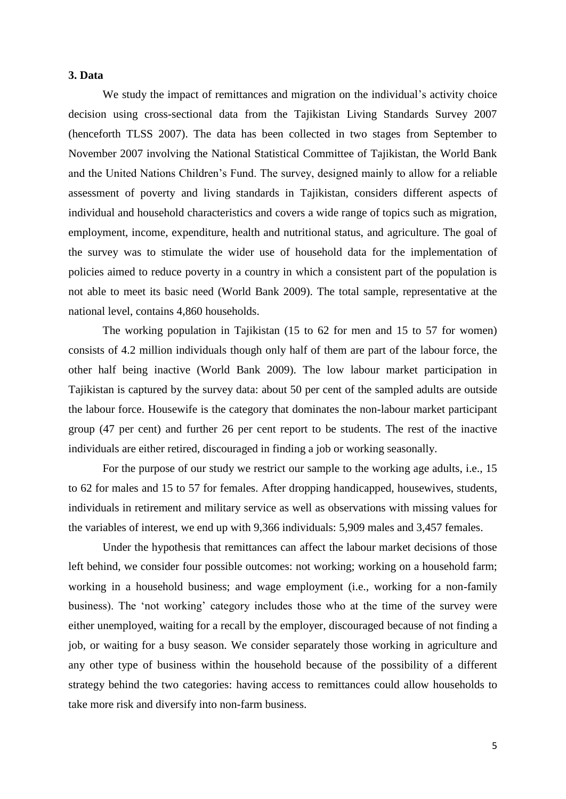## **3. Data**

We study the impact of remittances and migration on the individual's activity choice decision using cross-sectional data from the Tajikistan Living Standards Survey 2007 (henceforth TLSS 2007). The data has been collected in two stages from September to November 2007 involving the National Statistical Committee of Tajikistan, the World Bank and the United Nations Children's Fund. The survey, designed mainly to allow for a reliable assessment of poverty and living standards in Tajikistan, considers different aspects of individual and household characteristics and covers a wide range of topics such as migration, employment, income, expenditure, health and nutritional status, and agriculture. The goal of the survey was to stimulate the wider use of household data for the implementation of policies aimed to reduce poverty in a country in which a consistent part of the population is not able to meet its basic need (World Bank 2009). The total sample, representative at the national level, contains 4,860 households.

The working population in Tajikistan (15 to 62 for men and 15 to 57 for women) consists of 4.2 million individuals though only half of them are part of the labour force, the other half being inactive (World Bank 2009). The low labour market participation in Tajikistan is captured by the survey data: about 50 per cent of the sampled adults are outside the labour force. Housewife is the category that dominates the non-labour market participant group (47 per cent) and further 26 per cent report to be students. The rest of the inactive individuals are either retired, discouraged in finding a job or working seasonally.

For the purpose of our study we restrict our sample to the working age adults, i.e., 15 to 62 for males and 15 to 57 for females. After dropping handicapped, housewives, students, individuals in retirement and military service as well as observations with missing values for the variables of interest, we end up with 9,366 individuals: 5,909 males and 3,457 females.

Under the hypothesis that remittances can affect the labour market decisions of those left behind, we consider four possible outcomes: not working; working on a household farm; working in a household business; and wage employment (i.e., working for a non-family business). The 'not working' category includes those who at the time of the survey were either unemployed, waiting for a recall by the employer, discouraged because of not finding a job, or waiting for a busy season. We consider separately those working in agriculture and any other type of business within the household because of the possibility of a different strategy behind the two categories: having access to remittances could allow households to take more risk and diversify into non-farm business.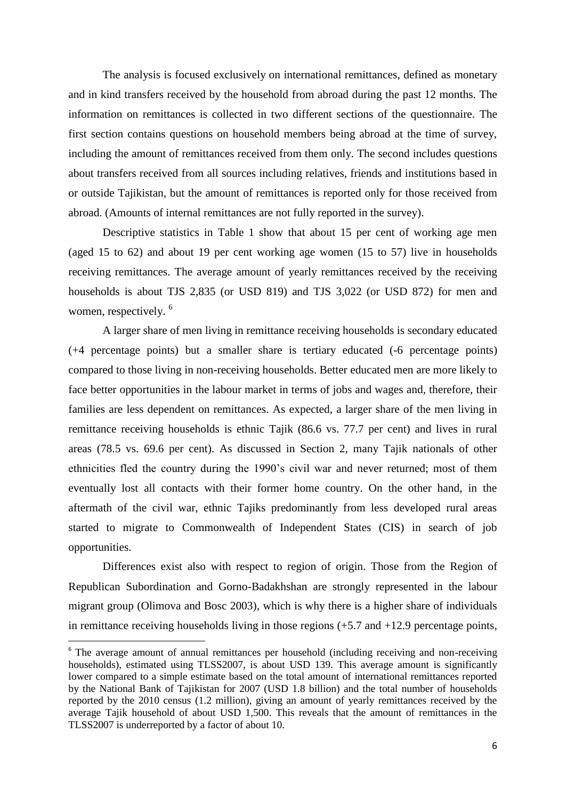The analysis is focused exclusively on international remittances, defined as monetary and in kind transfers received by the household from abroad during the past 12 months. The information on remittances is collected in two different sections of the questionnaire. The first section contains questions on household members being abroad at the time of survey, including the amount of remittances received from them only. The second includes questions about transfers received from all sources including relatives, friends and institutions based in or outside Tajikistan, but the amount of remittances is reported only for those received from abroad. (Amounts of internal remittances are not fully reported in the survey).

Descriptive statistics in Table 1 show that about 15 per cent of working age men (aged 15 to 62) and about 19 per cent working age women (15 to 57) live in households receiving remittances. The average amount of yearly remittances received by the receiving households is about TJS 2,835 (or USD 819) and TJS 3,022 (or USD 872) for men and women, respectively. <sup>6</sup>

A larger share of men living in remittance receiving households is secondary educated (+4 percentage points) but a smaller share is tertiary educated (-6 percentage points) compared to those living in non-receiving households. Better educated men are more likely to face better opportunities in the labour market in terms of jobs and wages and, therefore, their families are less dependent on remittances. As expected, a larger share of the men living in remittance receiving households is ethnic Tajik (86.6 vs. 77.7 per cent) and lives in rural areas (78.5 vs. 69.6 per cent). As discussed in Section 2, many Tajik nationals of other ethnicities fled the country during the 1990's civil war and never returned; most of them eventually lost all contacts with their former home country. On the other hand, in the aftermath of the civil war, ethnic Tajiks predominantly from less developed rural areas started to migrate to Commonwealth of Independent States (CIS) in search of job opportunities.

Differences exist also with respect to region of origin. Those from the Region of Republican Subordination and Gorno-Badakhshan are strongly represented in the labour migrant group (Olimova and Bosc 2003), which is why there is a higher share of individuals in remittance receiving households living in those regions (+5.7 and +12.9 percentage points,

l

<sup>&</sup>lt;sup>6</sup> The average amount of annual remittances per household (including receiving and non-receiving households), estimated using TLSS2007, is about USD 139. This average amount is significantly lower compared to a simple estimate based on the total amount of international remittances reported by the National Bank of Tajikistan for 2007 (USD 1.8 billion) and the total number of households reported by the 2010 census (1.2 million), giving an amount of yearly remittances received by the average Tajik household of about USD 1,500. This reveals that the amount of remittances in the TLSS2007 is underreported by a factor of about 10.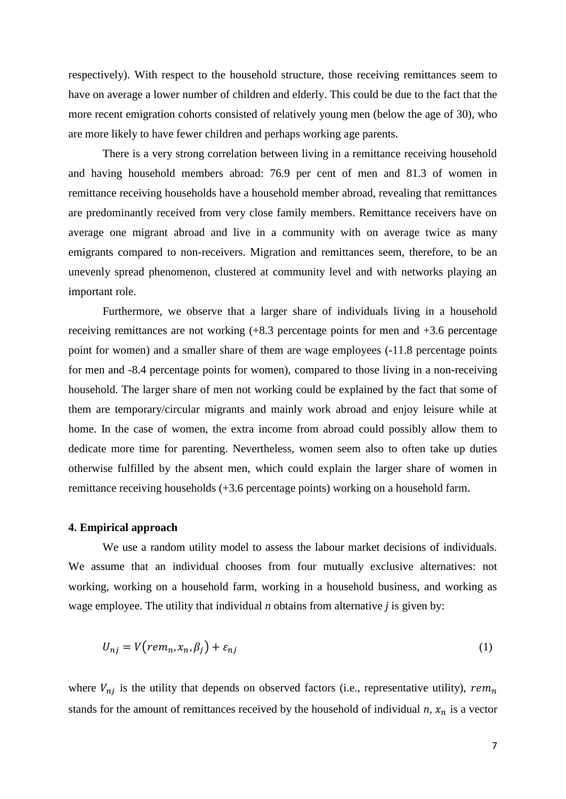respectively). With respect to the household structure, those receiving remittances seem to have on average a lower number of children and elderly. This could be due to the fact that the more recent emigration cohorts consisted of relatively young men (below the age of 30), who are more likely to have fewer children and perhaps working age parents.

There is a very strong correlation between living in a remittance receiving household and having household members abroad: 76.9 per cent of men and 81.3 of women in remittance receiving households have a household member abroad, revealing that remittances are predominantly received from very close family members. Remittance receivers have on average one migrant abroad and live in a community with on average twice as many emigrants compared to non-receivers. Migration and remittances seem, therefore, to be an unevenly spread phenomenon, clustered at community level and with networks playing an important role.

Furthermore, we observe that a larger share of individuals living in a household receiving remittances are not working (+8.3 percentage points for men and +3.6 percentage point for women) and a smaller share of them are wage employees (-11.8 percentage points for men and -8.4 percentage points for women), compared to those living in a non-receiving household. The larger share of men not working could be explained by the fact that some of them are temporary/circular migrants and mainly work abroad and enjoy leisure while at home. In the case of women, the extra income from abroad could possibly allow them to dedicate more time for parenting. Nevertheless, women seem also to often take up duties otherwise fulfilled by the absent men, which could explain the larger share of women in remittance receiving households (+3.6 percentage points) working on a household farm.

#### **4. Empirical approach**

We use a random utility model to assess the labour market decisions of individuals. We assume that an individual chooses from four mutually exclusive alternatives: not working, working on a household farm, working in a household business, and working as wage employee. The utility that individual *n* obtains from alternative *j* is given by:

$$
U_{nj} = V\big(rem_n, x_n, \beta_j\big) + \varepsilon_{nj} \tag{1}
$$

where  $V_{ni}$  is the utility that depends on observed factors (i.e., representative utility), rem<sub>n</sub> stands for the amount of remittances received by the household of individual  $n$ ,  $x_n$  is a vector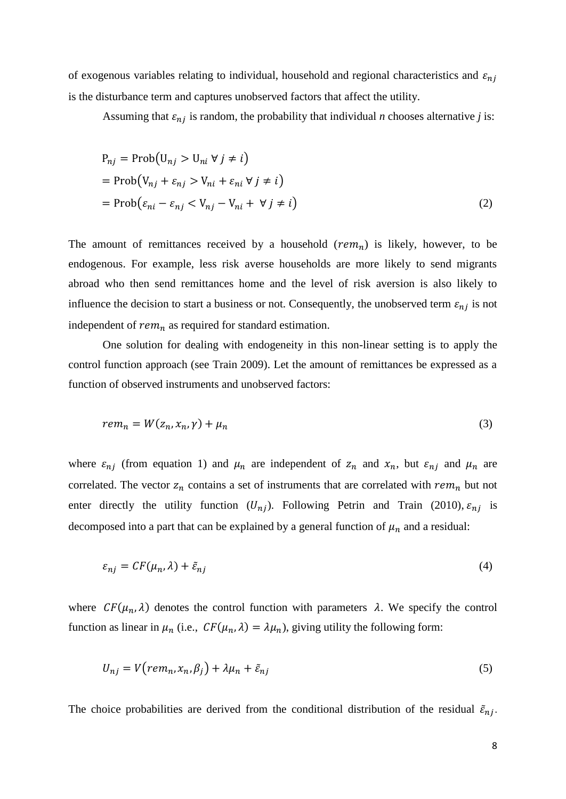of exogenous variables relating to individual, household and regional characteristics and  $\varepsilon_{ni}$ is the disturbance term and captures unobserved factors that affect the utility.

Assuming that  $\varepsilon_{nj}$  is random, the probability that individual *n* chooses alternative *j* is:

$$
P_{nj} = \text{Prob}(U_{nj} > U_{ni} \forall j \neq i)
$$
  
= 
$$
\text{Prob}(V_{nj} + \varepsilon_{nj} > V_{ni} + \varepsilon_{ni} \forall j \neq i)
$$
  
= 
$$
\text{Prob}(\varepsilon_{ni} - \varepsilon_{nj} < V_{nj} - V_{ni} + \forall j \neq i)
$$
 (2)

The amount of remittances received by a household  $(rem_n)$  is likely, however, to be endogenous. For example, less risk averse households are more likely to send migrants abroad who then send remittances home and the level of risk aversion is also likely to influence the decision to start a business or not. Consequently, the unobserved term  $\varepsilon_{nj}$  is not independent of  $rem_n$  as required for standard estimation.

One solution for dealing with endogeneity in this non-linear setting is to apply the control function approach (see Train 2009). Let the amount of remittances be expressed as a function of observed instruments and unobserved factors:

$$
rem_n = W(z_n, x_n, \gamma) + \mu_n \tag{3}
$$

where  $\varepsilon_{nj}$  (from equation 1) and  $\mu_n$  are independent of  $z_n$  and  $x_n$ , but  $\varepsilon_{nj}$  and  $\mu_n$  are correlated. The vector  $z_n$  contains a set of instruments that are correlated with  $rem_n$  but not enter directly the utility function  $(U_{ni})$ . Following Petrin and Train (2010),  $\varepsilon_{ni}$  is decomposed into a part that can be explained by a general function of  $\mu_n$  and a residual:

$$
\varepsilon_{nj} = CF(\mu_n, \lambda) + \tilde{\varepsilon}_{nj} \tag{4}
$$

where  $CF(\mu_n, \lambda)$  denotes the control function with parameters  $\lambda$ . We specify the control function as linear in  $\mu_n$  (i.e.,  $CF(\mu_n, \lambda) = \lambda \mu_n$ ), giving utility the following form:

$$
U_{nj} = V\big(rem_n, x_n, \beta_j\big) + \lambda \mu_n + \tilde{\varepsilon}_{nj} \tag{5}
$$

The choice probabilities are derived from the conditional distribution of the residual  $\tilde{\varepsilon}_{nj}$ .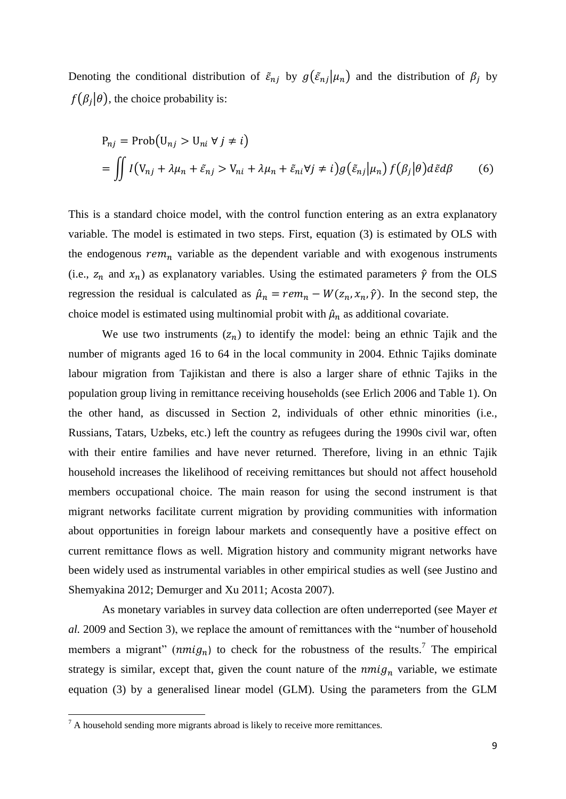Denoting the conditional distribution of  $\tilde{\varepsilon}_{nj}$  by  $g(\tilde{\varepsilon}_{nj}|\mu_n)$  and the distribution of  $\beta_j$  by  $f(\beta_j|\theta)$ , the choice probability is:

$$
P_{nj} = \text{Prob}(U_{nj} > U_{ni} \forall j \neq i)
$$
  
= 
$$
\iint I(V_{nj} + \lambda \mu_n + \tilde{\varepsilon}_{nj} > V_{ni} + \lambda \mu_n + \tilde{\varepsilon}_{ni} \forall j \neq i) g(\tilde{\varepsilon}_{nj} | \mu_n) f(\beta_j | \theta) d\tilde{\varepsilon} d\beta
$$
 (6)

This is a standard choice model, with the control function entering as an extra explanatory variable. The model is estimated in two steps. First, equation (3) is estimated by OLS with the endogenous  $rem_n$  variable as the dependent variable and with exogenous instruments (i.e.,  $z_n$  and  $x_n$ ) as explanatory variables. Using the estimated parameters  $\hat{\gamma}$  from the OLS regression the residual is calculated as  $\hat{\mu}_n = rem_n - W(z_n, x_n, \hat{\gamma})$ . In the second step, the choice model is estimated using multinomial probit with  $\hat{\mu}_n$  as additional covariate.

We use two instruments  $(z_n)$  to identify the model: being an ethnic Tajik and the number of migrants aged 16 to 64 in the local community in 2004. Ethnic Tajiks dominate labour migration from Tajikistan and there is also a larger share of ethnic Tajiks in the population group living in remittance receiving households (see Erlich 2006 and Table 1). On the other hand, as discussed in Section 2, individuals of other ethnic minorities (i.e., Russians, Tatars, Uzbeks, etc.) left the country as refugees during the 1990s civil war, often with their entire families and have never returned. Therefore, living in an ethnic Tajik household increases the likelihood of receiving remittances but should not affect household members occupational choice. The main reason for using the second instrument is that migrant networks facilitate current migration by providing communities with information about opportunities in foreign labour markets and consequently have a positive effect on current remittance flows as well. Migration history and community migrant networks have been widely used as instrumental variables in other empirical studies as well (see Justino and Shemyakina 2012; Demurger and Xu 2011; Acosta 2007).

As monetary variables in survey data collection are often underreported (see Mayer *et al.* 2009 and Section 3), we replace the amount of remittances with the "number of household members a migrant" ( $nmi g_n$ ) to check for the robustness of the results.<sup>7</sup> The empirical strategy is similar, except that, given the count nature of the  $nmi g_n$  variable, we estimate equation (3) by a generalised linear model (GLM). Using the parameters from the GLM

 $\overline{\phantom{a}}$ 

 $7 A$  household sending more migrants abroad is likely to receive more remittances.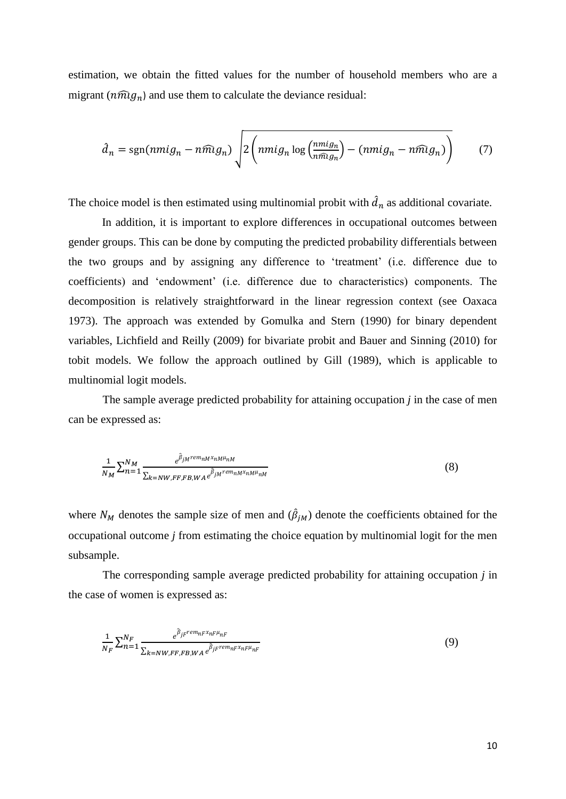estimation, we obtain the fitted values for the number of household members who are a migrant ( $n\widehat{m}g_n$ ) and use them to calculate the deviance residual:

$$
\hat{d}_n = \text{sgn}(n m i g_n - n \widehat{m} g_n) \sqrt{2 \left( n m i g_n \log \left( \frac{n m i g_n}{n \widehat{m} g_n} \right) - (n m i g_n - n \widehat{m} g_n) \right)}
$$
(7)

The choice model is then estimated using multinomial probit with  $\hat{d}_n$  as additional covariate.

In addition, it is important to explore differences in occupational outcomes between gender groups. This can be done by computing the predicted probability differentials between the two groups and by assigning any difference to 'treatment' (i.e. difference due to coefficients) and 'endowment' (i.e. difference due to characteristics) components. The decomposition is relatively straightforward in the linear regression context (see Oaxaca 1973). The approach was extended by Gomulka and Stern (1990) for binary dependent variables, Lichfield and Reilly (2009) for bivariate probit and Bauer and Sinning (2010) for tobit models. We follow the approach outlined by Gill (1989), which is applicable to multinomial logit models.

The sample average predicted probability for attaining occupation *j* in the case of men can be expressed as:

$$
\frac{1}{N_M} \sum_{n=1}^{N_M} \frac{e^{\hat{\beta}_{jM}rem_{nM}x_{nM}\mu_{nM}}}{\sum_{k=NW,FF,FB,WA} e^{\hat{\beta}_{jM}rem_{nM}x_{nM}\mu_{nM}}}
$$
(8)

where  $N_M$  denotes the sample size of men and  $(\hat{\beta}_{jM})$  denote the coefficients obtained for the occupational outcome *j* from estimating the choice equation by multinomial logit for the men subsample.

The corresponding sample average predicted probability for attaining occupation *j* in the case of women is expressed as:

$$
\frac{1}{N_F} \sum_{n=1}^{N_F} \frac{e^{\hat{\beta}_{jF}rem_n F x_n F \mu_n F}}{\sum_{k=NW, FF, FB, WA} e^{\hat{\beta}_{jF} rem_n F x_n F \mu_n F}}
$$
(9)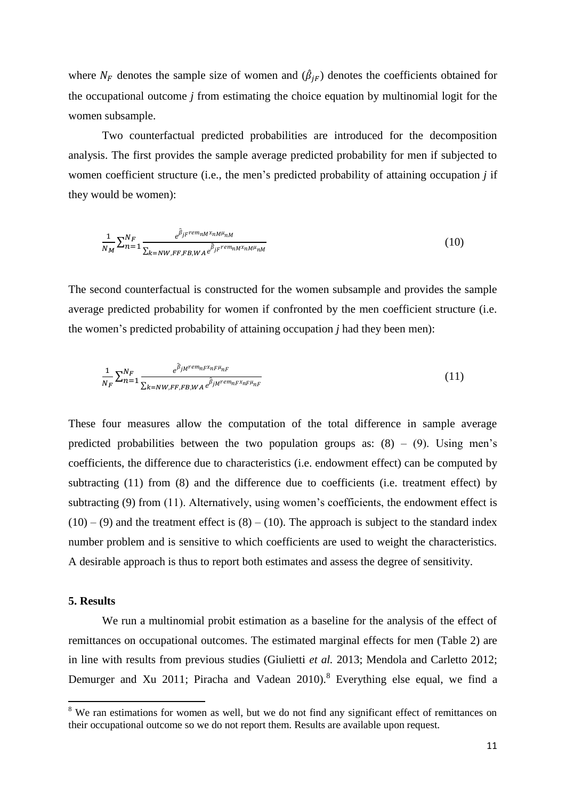where  $N_F$  denotes the sample size of women and  $(\hat{\beta}_{jF})$  denotes the coefficients obtained for the occupational outcome *j* from estimating the choice equation by multinomial logit for the women subsample.

Two counterfactual predicted probabilities are introduced for the decomposition analysis. The first provides the sample average predicted probability for men if subjected to women coefficient structure (i.e., the men's predicted probability of attaining occupation *j* if they would be women):

$$
\frac{1}{N_M} \sum_{n=1}^{N_F} \frac{e^{\hat{\beta}_{jF}rem_{nM}x_{nM} \mu_{nM}}}{\sum_{k=NW,FF,FB,WA} e^{\hat{\beta}_{jF}rem_{nM}x_{nM} \mu_{nM}}}
$$
(10)

The second counterfactual is constructed for the women subsample and provides the sample average predicted probability for women if confronted by the men coefficient structure (i.e. the women's predicted probability of attaining occupation *j* had they been men):

$$
\frac{1}{N_F} \sum_{n=1}^{N_F} \frac{e^{\hat{\beta}_{jM}rem_{nF}x_{nF}\mu_{nF}}}{\sum_{k=NW, FF, FB, WA} e^{\hat{\beta}_{jM}rem_{nF}x_{nF}\mu_{nF}}}
$$
(11)

These four measures allow the computation of the total difference in sample average predicted probabilities between the two population groups as:  $(8) - (9)$ . Using men's coefficients, the difference due to characteristics (i.e. endowment effect) can be computed by subtracting (11) from (8) and the difference due to coefficients (i.e. treatment effect) by subtracting (9) from (11). Alternatively, using women's coefficients, the endowment effect is  $(10) - (9)$  and the treatment effect is  $(8) - (10)$ . The approach is subject to the standard index number problem and is sensitive to which coefficients are used to weight the characteristics. A desirable approach is thus to report both estimates and assess the degree of sensitivity.

#### **5. Results**

 $\overline{a}$ 

We run a multinomial probit estimation as a baseline for the analysis of the effect of remittances on occupational outcomes. The estimated marginal effects for men (Table 2) are in line with results from previous studies (Giulietti *et al.* 2013; Mendola and Carletto 2012; Demurger and Xu 2011; Piracha and Vadean 2010).<sup>8</sup> Everything else equal, we find a

<sup>&</sup>lt;sup>8</sup> We ran estimations for women as well, but we do not find any significant effect of remittances on their occupational outcome so we do not report them. Results are available upon request.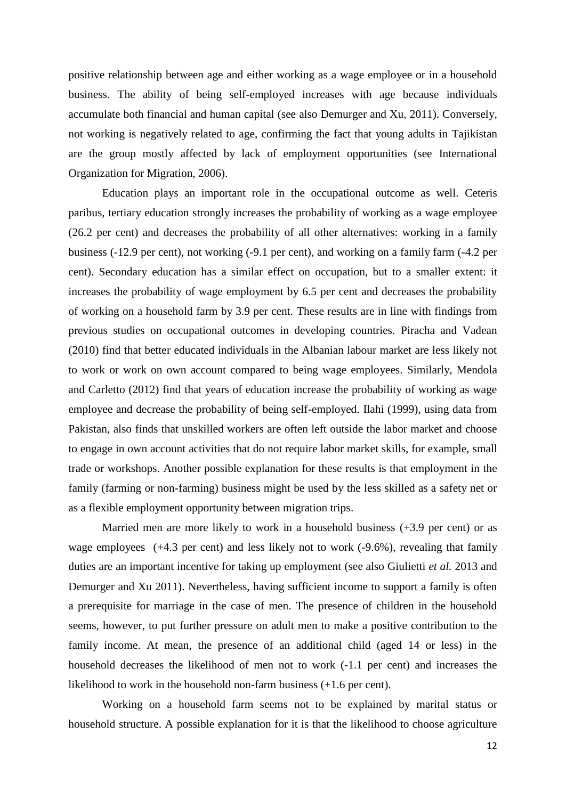positive relationship between age and either working as a wage employee or in a household business. The ability of being self-employed increases with age because individuals accumulate both financial and human capital (see also Demurger and Xu, 2011). Conversely, not working is negatively related to age, confirming the fact that young adults in Tajikistan are the group mostly affected by lack of employment opportunities (see International Organization for Migration, 2006).

Education plays an important role in the occupational outcome as well. Ceteris paribus, tertiary education strongly increases the probability of working as a wage employee (26.2 per cent) and decreases the probability of all other alternatives: working in a family business (-12.9 per cent), not working (-9.1 per cent), and working on a family farm (-4.2 per cent). Secondary education has a similar effect on occupation, but to a smaller extent: it increases the probability of wage employment by 6.5 per cent and decreases the probability of working on a household farm by 3.9 per cent. These results are in line with findings from previous studies on occupational outcomes in developing countries. Piracha and Vadean (2010) find that better educated individuals in the Albanian labour market are less likely not to work or work on own account compared to being wage employees. Similarly, Mendola and Carletto (2012) find that years of education increase the probability of working as wage employee and decrease the probability of being self-employed. Ilahi (1999), using data from Pakistan, also finds that unskilled workers are often left outside the labor market and choose to engage in own account activities that do not require labor market skills, for example, small trade or workshops. Another possible explanation for these results is that employment in the family (farming or non-farming) business might be used by the less skilled as a safety net or as a flexible employment opportunity between migration trips.

Married men are more likely to work in a household business (+3.9 per cent) or as wage employees (+4.3 per cent) and less likely not to work (-9.6%), revealing that family duties are an important incentive for taking up employment (see also Giulietti *et al.* 2013 and Demurger and Xu 2011). Nevertheless, having sufficient income to support a family is often a prerequisite for marriage in the case of men. The presence of children in the household seems, however, to put further pressure on adult men to make a positive contribution to the family income. At mean, the presence of an additional child (aged 14 or less) in the household decreases the likelihood of men not to work (-1.1 per cent) and increases the likelihood to work in the household non-farm business (+1.6 per cent).

Working on a household farm seems not to be explained by marital status or household structure. A possible explanation for it is that the likelihood to choose agriculture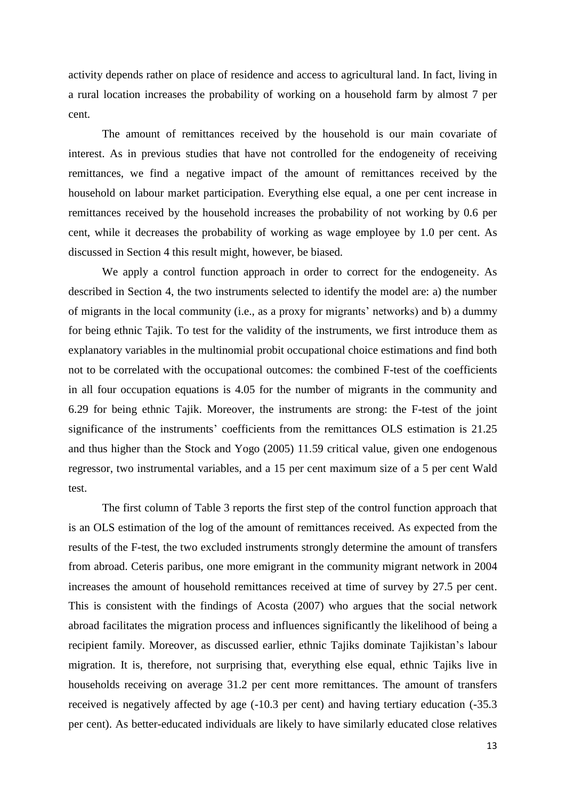activity depends rather on place of residence and access to agricultural land. In fact, living in a rural location increases the probability of working on a household farm by almost 7 per cent.

The amount of remittances received by the household is our main covariate of interest. As in previous studies that have not controlled for the endogeneity of receiving remittances, we find a negative impact of the amount of remittances received by the household on labour market participation. Everything else equal, a one per cent increase in remittances received by the household increases the probability of not working by 0.6 per cent, while it decreases the probability of working as wage employee by 1.0 per cent. As discussed in Section 4 this result might, however, be biased.

We apply a control function approach in order to correct for the endogeneity. As described in Section 4, the two instruments selected to identify the model are: a) the number of migrants in the local community (i.e., as a proxy for migrants' networks) and b) a dummy for being ethnic Tajik. To test for the validity of the instruments, we first introduce them as explanatory variables in the multinomial probit occupational choice estimations and find both not to be correlated with the occupational outcomes: the combined F-test of the coefficients in all four occupation equations is 4.05 for the number of migrants in the community and 6.29 for being ethnic Tajik. Moreover, the instruments are strong: the F-test of the joint significance of the instruments' coefficients from the remittances OLS estimation is 21.25 and thus higher than the Stock and Yogo (2005) 11.59 critical value, given one endogenous regressor, two instrumental variables, and a 15 per cent maximum size of a 5 per cent Wald test.

The first column of Table 3 reports the first step of the control function approach that is an OLS estimation of the log of the amount of remittances received. As expected from the results of the F-test, the two excluded instruments strongly determine the amount of transfers from abroad. Ceteris paribus, one more emigrant in the community migrant network in 2004 increases the amount of household remittances received at time of survey by 27.5 per cent. This is consistent with the findings of Acosta (2007) who argues that the social network abroad facilitates the migration process and influences significantly the likelihood of being a recipient family. Moreover, as discussed earlier, ethnic Tajiks dominate Tajikistan's labour migration. It is, therefore, not surprising that, everything else equal, ethnic Tajiks live in households receiving on average 31.2 per cent more remittances. The amount of transfers received is negatively affected by age (-10.3 per cent) and having tertiary education (-35.3 per cent). As better-educated individuals are likely to have similarly educated close relatives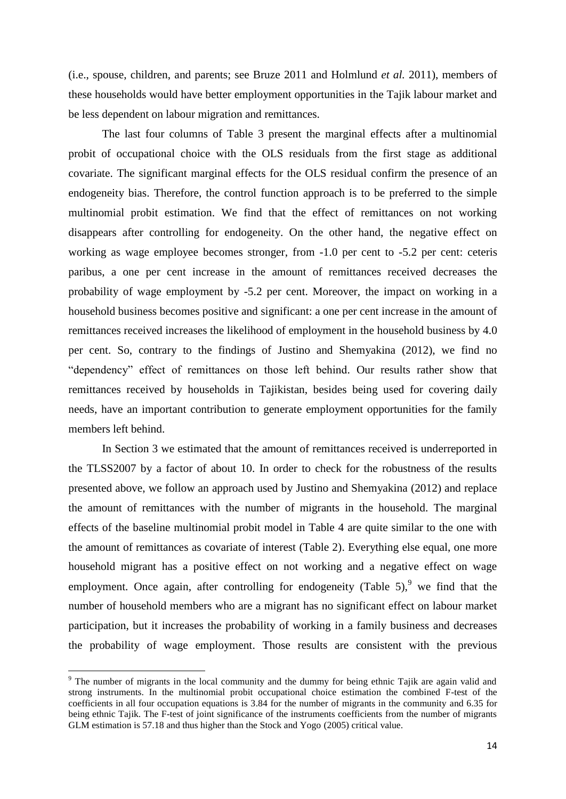(i.e., spouse, children, and parents; see Bruze 2011 and Holmlund *et al.* 2011), members of these households would have better employment opportunities in the Tajik labour market and be less dependent on labour migration and remittances.

The last four columns of Table 3 present the marginal effects after a multinomial probit of occupational choice with the OLS residuals from the first stage as additional covariate. The significant marginal effects for the OLS residual confirm the presence of an endogeneity bias. Therefore, the control function approach is to be preferred to the simple multinomial probit estimation. We find that the effect of remittances on not working disappears after controlling for endogeneity. On the other hand, the negative effect on working as wage employee becomes stronger, from -1.0 per cent to -5.2 per cent: ceteris paribus, a one per cent increase in the amount of remittances received decreases the probability of wage employment by -5.2 per cent. Moreover, the impact on working in a household business becomes positive and significant: a one per cent increase in the amount of remittances received increases the likelihood of employment in the household business by 4.0 per cent. So, contrary to the findings of Justino and Shemyakina (2012), we find no "dependency" effect of remittances on those left behind. Our results rather show that remittances received by households in Tajikistan, besides being used for covering daily needs, have an important contribution to generate employment opportunities for the family members left behind.

In Section 3 we estimated that the amount of remittances received is underreported in the TLSS2007 by a factor of about 10. In order to check for the robustness of the results presented above, we follow an approach used by Justino and Shemyakina (2012) and replace the amount of remittances with the number of migrants in the household. The marginal effects of the baseline multinomial probit model in Table 4 are quite similar to the one with the amount of remittances as covariate of interest (Table 2). Everything else equal, one more household migrant has a positive effect on not working and a negative effect on wage employment. Once again, after controlling for endogeneity (Table  $5$ ), we find that the number of household members who are a migrant has no significant effect on labour market participation, but it increases the probability of working in a family business and decreases the probability of wage employment. Those results are consistent with the previous

 $\overline{\phantom{a}}$ 

<sup>&</sup>lt;sup>9</sup> The number of migrants in the local community and the dummy for being ethnic Tajik are again valid and strong instruments. In the multinomial probit occupational choice estimation the combined F-test of the coefficients in all four occupation equations is 3.84 for the number of migrants in the community and 6.35 for being ethnic Tajik. The F-test of joint significance of the instruments coefficients from the number of migrants GLM estimation is 57.18 and thus higher than the Stock and Yogo (2005) critical value.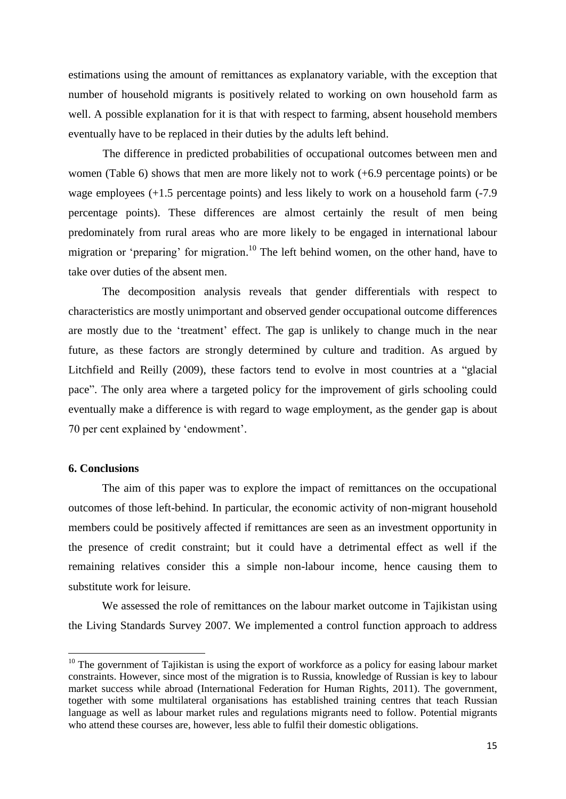estimations using the amount of remittances as explanatory variable, with the exception that number of household migrants is positively related to working on own household farm as well. A possible explanation for it is that with respect to farming, absent household members eventually have to be replaced in their duties by the adults left behind.

The difference in predicted probabilities of occupational outcomes between men and women (Table 6) shows that men are more likely not to work (+6.9 percentage points) or be wage employees (+1.5 percentage points) and less likely to work on a household farm (-7.9) percentage points). These differences are almost certainly the result of men being predominately from rural areas who are more likely to be engaged in international labour migration or 'preparing' for migration.<sup>10</sup> The left behind women, on the other hand, have to take over duties of the absent men.

The decomposition analysis reveals that gender differentials with respect to characteristics are mostly unimportant and observed gender occupational outcome differences are mostly due to the 'treatment' effect. The gap is unlikely to change much in the near future, as these factors are strongly determined by culture and tradition. As argued by Litchfield and Reilly (2009), these factors tend to evolve in most countries at a "glacial pace". The only area where a targeted policy for the improvement of girls schooling could eventually make a difference is with regard to wage employment, as the gender gap is about 70 per cent explained by 'endowment'.

#### **6. Conclusions**

 $\overline{a}$ 

The aim of this paper was to explore the impact of remittances on the occupational outcomes of those left-behind. In particular, the economic activity of non-migrant household members could be positively affected if remittances are seen as an investment opportunity in the presence of credit constraint; but it could have a detrimental effect as well if the remaining relatives consider this a simple non-labour income, hence causing them to substitute work for leisure.

We assessed the role of remittances on the labour market outcome in Tajikistan using the Living Standards Survey 2007. We implemented a control function approach to address

 $10$  The government of Tajikistan is using the export of workforce as a policy for easing labour market constraints. However, since most of the migration is to Russia, knowledge of Russian is key to labour market success while abroad (International Federation for Human Rights, 2011). The government, together with some multilateral organisations has established training centres that teach Russian language as well as labour market rules and regulations migrants need to follow. Potential migrants who attend these courses are, however, less able to fulfil their domestic obligations.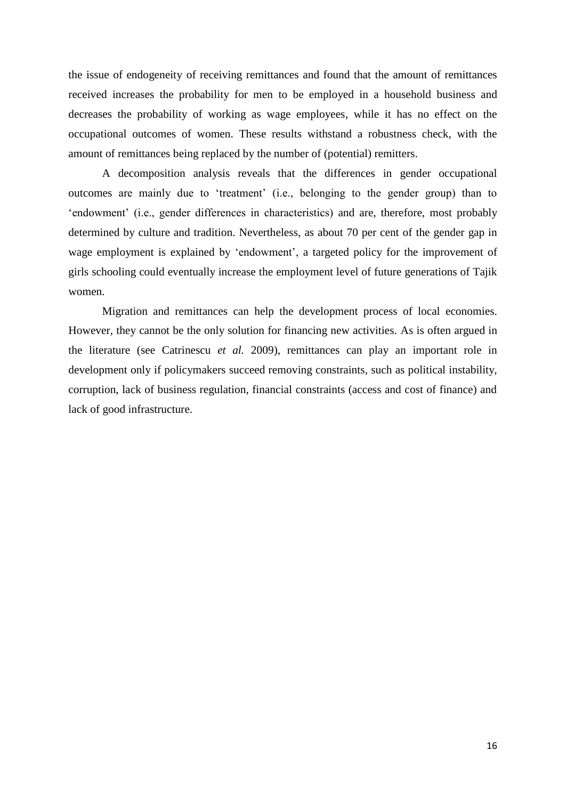the issue of endogeneity of receiving remittances and found that the amount of remittances received increases the probability for men to be employed in a household business and decreases the probability of working as wage employees, while it has no effect on the occupational outcomes of women. These results withstand a robustness check, with the amount of remittances being replaced by the number of (potential) remitters.

A decomposition analysis reveals that the differences in gender occupational outcomes are mainly due to 'treatment' (i.e., belonging to the gender group) than to 'endowment' (i.e., gender differences in characteristics) and are, therefore, most probably determined by culture and tradition. Nevertheless, as about 70 per cent of the gender gap in wage employment is explained by 'endowment', a targeted policy for the improvement of girls schooling could eventually increase the employment level of future generations of Tajik women.

Migration and remittances can help the development process of local economies. However, they cannot be the only solution for financing new activities. As is often argued in the literature (see Catrinescu *et al.* 2009), remittances can play an important role in development only if policymakers succeed removing constraints, such as political instability, corruption, lack of business regulation, financial constraints (access and cost of finance) and lack of good infrastructure.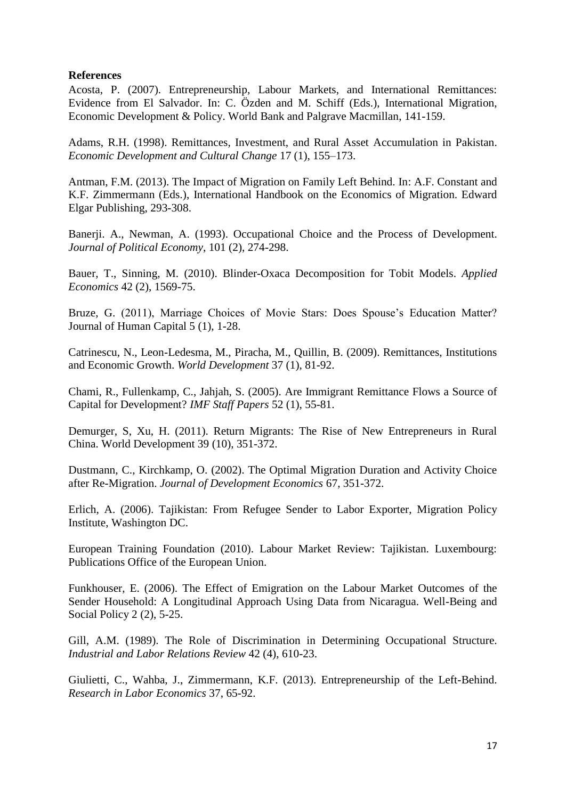## **References**

Acosta, P. (2007). Entrepreneurship, Labour Markets, and International Remittances: Evidence from El Salvador. In: C. Özden and M. Schiff (Eds.), International Migration, Economic Development & Policy. World Bank and Palgrave Macmillan, 141-159.

Adams, R.H. (1998). Remittances, Investment, and Rural Asset Accumulation in Pakistan. *Economic Development and Cultural Change* 17 (1), 155–173.

Antman, F.M. (2013). The Impact of Migration on Family Left Behind. In: A.F. Constant and K.F. Zimmermann (Eds.), International Handbook on the Economics of Migration. Edward Elgar Publishing, 293-308.

Banerji. A., Newman, A. (1993). Occupational Choice and the Process of Development. *Journal of Political Economy*, 101 (2), 274-298.

Bauer, T., Sinning, M. (2010). Blinder-Oxaca Decomposition for Tobit Models. *Applied Economics* 42 (2), 1569-75.

Bruze, G. (2011), Marriage Choices of Movie Stars: Does Spouse's Education Matter? Journal of Human Capital 5 (1), 1-28.

Catrinescu, N., Leon-Ledesma, M., Piracha, M., Quillin, B. (2009). Remittances, Institutions and Economic Growth. *World Development* 37 (1), 81-92.

Chami, R., Fullenkamp, C., Jahjah, S. (2005). Are Immigrant Remittance Flows a Source of Capital for Development? *IMF Staff Papers* 52 (1), 55-81.

Demurger, S, Xu, H. (2011). Return Migrants: The Rise of New Entrepreneurs in Rural China. World Development 39 (10), 351-372.

Dustmann, C., Kirchkamp, O. (2002). The Optimal Migration Duration and Activity Choice after Re-Migration. *Journal of Development Economics* 67, 351-372.

Erlich, A. (2006). Tajikistan: From Refugee Sender to Labor Exporter, Migration Policy Institute, Washington DC.

European Training Foundation (2010). Labour Market Review: Tajikistan. Luxembourg: Publications Office of the European Union.

Funkhouser, E. (2006). The Effect of Emigration on the Labour Market Outcomes of the Sender Household: A Longitudinal Approach Using Data from Nicaragua. Well-Being and Social Policy 2 (2), 5-25.

Gill, A.M. (1989). The Role of Discrimination in Determining Occupational Structure. *Industrial and Labor Relations Review* 42 (4), 610-23.

Giulietti, C., Wahba, J., Zimmermann, K.F. (2013). Entrepreneurship of the Left-Behind. *Research in Labor Economics* 37, 65-92.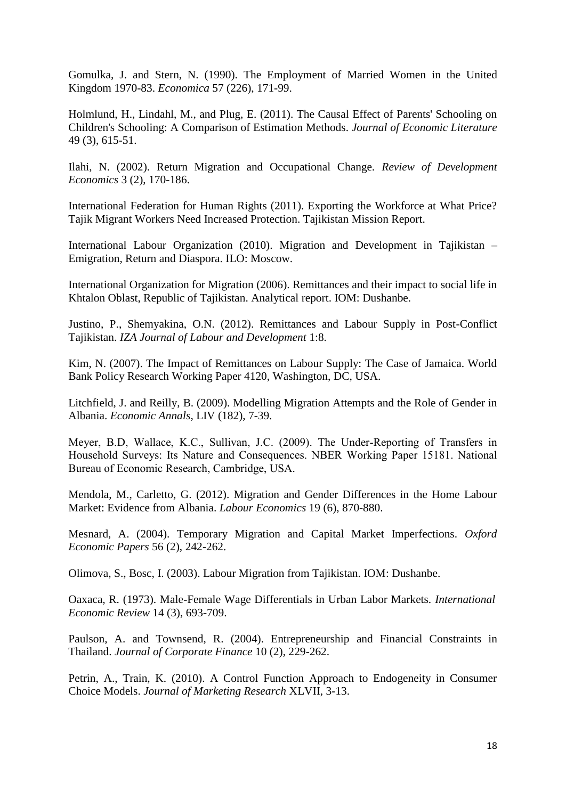Gomulka, J. and Stern, N. (1990). The Employment of Married Women in the United Kingdom 1970-83. *Economica* 57 (226), 171-99.

Holmlund, H., Lindahl, M., and Plug, E. (2011). The Causal Effect of Parents' Schooling on Children's Schooling: A Comparison of Estimation Methods. *Journal of Economic Literature* 49 (3), 615-51.

Ilahi, N. (2002). Return Migration and Occupational Change. *Review of Development Economics* 3 (2), 170-186.

International Federation for Human Rights (2011). Exporting the Workforce at What Price? Tajik Migrant Workers Need Increased Protection. Tajikistan Mission Report.

International Labour Organization (2010). Migration and Development in Tajikistan – Emigration, Return and Diaspora. ILO: Moscow.

International Organization for Migration (2006). Remittances and their impact to social life in Khtalon Oblast, Republic of Tajikistan. Analytical report. IOM: Dushanbe.

Justino, P., Shemyakina, O.N. (2012). Remittances and Labour Supply in Post-Conflict Tajikistan. *IZA Journal of Labour and Development* 1:8.

Kim, N. (2007). The Impact of Remittances on Labour Supply: The Case of Jamaica. World Bank Policy Research Working Paper 4120, Washington, DC, USA.

Litchfield, J. and Reilly, B. (2009). Modelling Migration Attempts and the Role of Gender in Albania. *Economic Annals*, LIV (182), 7-39.

Meyer, B.D, Wallace, K.C., Sullivan, J.C. (2009). The Under-Reporting of Transfers in Household Surveys: Its Nature and Consequences. NBER Working Paper 15181. National Bureau of Economic Research, Cambridge, USA.

Mendola, M., Carletto, G. (2012). Migration and Gender Differences in the Home Labour Market: Evidence from Albania. *Labour Economics* 19 (6), 870-880.

Mesnard, A. (2004). Temporary Migration and Capital Market Imperfections. *Oxford Economic Papers* 56 (2), 242-262.

Olimova, S., Bosc, I. (2003). Labour Migration from Tajikistan. IOM: Dushanbe.

Oaxaca, R. (1973). Male-Female Wage Differentials in Urban Labor Markets. *International Economic Review* 14 (3), 693-709.

Paulson, A. and Townsend, R. (2004). Entrepreneurship and Financial Constraints in Thailand. *Journal of Corporate Finance* 10 (2), 229-262.

Petrin, A., Train, K. (2010). A Control Function Approach to Endogeneity in Consumer Choice Models. *Journal of Marketing Research* XLVII, 3-13.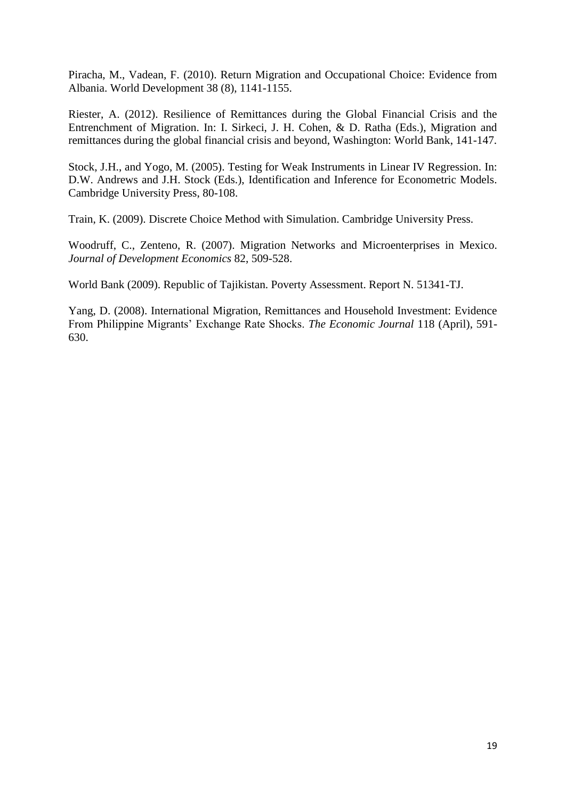Piracha, M., Vadean, F. (2010). Return Migration and Occupational Choice: Evidence from Albania. World Development 38 (8), 1141-1155.

Riester, A. (2012). Resilience of Remittances during the Global Financial Crisis and the Entrenchment of Migration. In: I. Sirkeci, J. H. Cohen, & D. Ratha (Eds.), Migration and remittances during the global financial crisis and beyond, Washington: World Bank, 141-147.

Stock, J.H., and Yogo, M. (2005). Testing for Weak Instruments in Linear IV Regression. In: D.W. Andrews and J.H. Stock (Eds.), Identification and Inference for Econometric Models. Cambridge University Press, 80-108.

Train, K. (2009). Discrete Choice Method with Simulation. Cambridge University Press.

Woodruff, C., Zenteno, R. (2007). Migration Networks and Microenterprises in Mexico. *Journal of Development Economics* 82, 509-528.

World Bank (2009). Republic of Tajikistan. Poverty Assessment. Report N. 51341-TJ.

Yang, D. (2008). International Migration, Remittances and Household Investment: Evidence From Philippine Migrants' Exchange Rate Shocks. *The Economic Journal* 118 (April), 591- 630.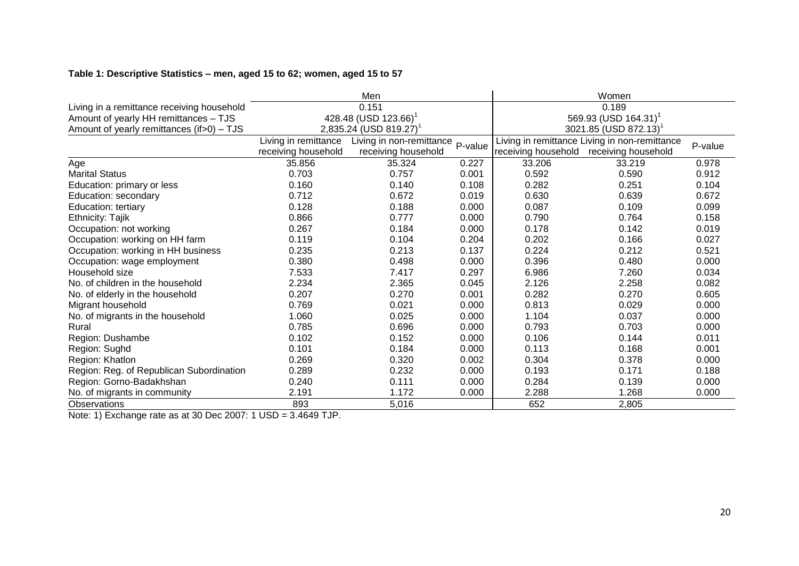## **Table 1: Descriptive Statistics – men, aged 15 to 62; women, aged 15 to 57**

|                                            |                      | Men                                  | Women                            |                                                          |                     |       |  |
|--------------------------------------------|----------------------|--------------------------------------|----------------------------------|----------------------------------------------------------|---------------------|-------|--|
| Living in a remittance receiving household |                      | 0.151                                | 0.189                            |                                                          |                     |       |  |
| Amount of yearly HH remittances - TJS      |                      | 428.48 (USD 123.66) <sup>1</sup>     | 569.93 (USD 164.31) <sup>1</sup> |                                                          |                     |       |  |
| Amount of yearly remittances (if>0) - TJS  |                      | $2,835.24$ (USD 819.27) <sup>1</sup> |                                  | $3021.85$ (USD 872.13) <sup>1</sup>                      |                     |       |  |
|                                            | Living in remittance | Living in non-remittance             | P-value                          | Living in remittance Living in non-remittance<br>P-value |                     |       |  |
|                                            | receiving household  | receiving household                  |                                  | receiving household                                      | receiving household |       |  |
| Age                                        | 35.856               | 35.324                               | 0.227                            | 33.206                                                   | 33.219              | 0.978 |  |
| <b>Marital Status</b>                      | 0.703                | 0.757                                | 0.001                            | 0.592                                                    | 0.590               | 0.912 |  |
| Education: primary or less                 | 0.160                | 0.140                                | 0.108                            | 0.282                                                    | 0.251               | 0.104 |  |
| Education: secondary                       | 0.712                | 0.672                                | 0.019                            | 0.630                                                    | 0.639               | 0.672 |  |
| Education: tertiary                        | 0.128                | 0.188                                | 0.000                            | 0.087                                                    | 0.109               | 0.099 |  |
| Ethnicity: Tajik                           | 0.866                | 0.777                                | 0.000                            | 0.790                                                    | 0.764               | 0.158 |  |
| Occupation: not working                    | 0.267                | 0.184                                | 0.000                            | 0.178                                                    | 0.142               | 0.019 |  |
| Occupation: working on HH farm             | 0.119                | 0.104                                | 0.204                            | 0.202                                                    | 0.166               | 0.027 |  |
| Occupation: working in HH business         | 0.235                | 0.213                                | 0.137                            | 0.224                                                    | 0.212               | 0.521 |  |
| Occupation: wage employment                | 0.380                | 0.498                                | 0.000                            | 0.396                                                    | 0.480               | 0.000 |  |
| Household size                             | 7.533                | 7.417                                | 0.297                            | 6.986                                                    | 7.260               | 0.034 |  |
| No. of children in the household           | 2.234                | 2.365                                | 0.045                            | 2.126                                                    | 2.258               | 0.082 |  |
| No. of elderly in the household            | 0.207                | 0.270                                | 0.001                            | 0.282                                                    | 0.270               | 0.605 |  |
| Migrant household                          | 0.769                | 0.021                                | 0.000                            | 0.813                                                    | 0.029               | 0.000 |  |
| No. of migrants in the household           | 1.060                | 0.025                                | 0.000                            | 1.104                                                    | 0.037               | 0.000 |  |
| Rural                                      | 0.785                | 0.696                                | 0.000                            | 0.793                                                    | 0.703               | 0.000 |  |
| Region: Dushambe                           | 0.102                | 0.152                                | 0.000                            | 0.106                                                    | 0.144               | 0.011 |  |
| Region: Sughd                              | 0.101                | 0.184                                | 0.000                            | 0.113                                                    | 0.168               | 0.001 |  |
| Region: Khatlon                            | 0.269                | 0.320                                | 0.002                            | 0.304                                                    | 0.378               | 0.000 |  |
| Region: Reg. of Republican Subordination   | 0.289                | 0.232                                | 0.000                            | 0.193                                                    | 0.171               | 0.188 |  |
| Region: Gorno-Badakhshan                   | 0.240                | 0.111                                | 0.000                            | 0.284                                                    | 0.139               | 0.000 |  |
| No. of migrants in community               | 2.191                | 1.172                                | 0.000                            | 2.288                                                    | 1.268               | 0.000 |  |
| Observations                               | 893                  | 5,016                                |                                  | 652                                                      | 2,805               |       |  |

Note: 1) Exchange rate as at 30 Dec 2007: 1 USD = 3.4649 TJP.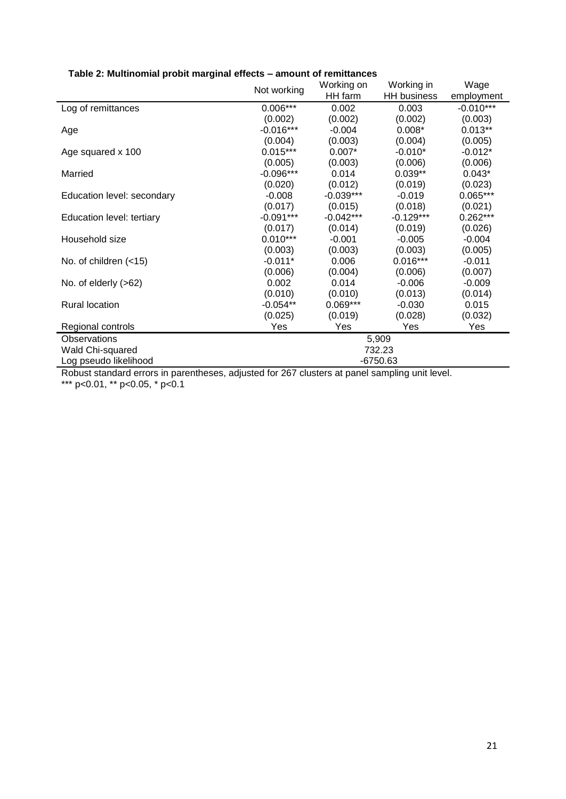|                            | Not working | Working on  | Working in         | Wage        |  |  |
|----------------------------|-------------|-------------|--------------------|-------------|--|--|
|                            |             | HH farm     | <b>HH</b> business | employment  |  |  |
| Log of remittances         | $0.006***$  | 0.002       | 0.003              | $-0.010***$ |  |  |
|                            | (0.002)     | (0.002)     | (0.002)            | (0.003)     |  |  |
| Age                        | $-0.016***$ | $-0.004$    | $0.008*$           | $0.013**$   |  |  |
|                            | (0.004)     | (0.003)     | (0.004)            | (0.005)     |  |  |
| Age squared x 100          | $0.015***$  | $0.007*$    | $-0.010*$          | $-0.012*$   |  |  |
|                            | (0.005)     | (0.003)     | (0.006)            | (0.006)     |  |  |
| Married                    | $-0.096***$ | 0.014       | $0.039**$          | $0.043*$    |  |  |
|                            | (0.020)     | (0.012)     | (0.019)            | (0.023)     |  |  |
| Education level: secondary | $-0.008$    | $-0.039***$ | $-0.019$           | $0.065***$  |  |  |
|                            | (0.017)     | (0.015)     | (0.018)            | (0.021)     |  |  |
| Education level: tertiary  | $-0.091***$ | $-0.042***$ | $-0.129***$        | $0.262***$  |  |  |
|                            | (0.017)     | (0.014)     | (0.019)            | (0.026)     |  |  |
| Household size             | $0.010***$  | $-0.001$    | $-0.005$           | $-0.004$    |  |  |
|                            | (0.003)     | (0.003)     | (0.003)            | (0.005)     |  |  |
| No. of children $(-15)$    | $-0.011*$   | 0.006       | $0.016***$         | $-0.011$    |  |  |
|                            | (0.006)     | (0.004)     | (0.006)            | (0.007)     |  |  |
| No. of elderly $(>62)$     | 0.002       | 0.014       | $-0.006$           | $-0.009$    |  |  |
|                            | (0.010)     | (0.010)     | (0.013)            | (0.014)     |  |  |
| <b>Rural location</b>      | $-0.054**$  | $0.069***$  | $-0.030$           | 0.015       |  |  |
|                            | (0.025)     | (0.019)     | (0.028)            | (0.032)     |  |  |
| Regional controls          | Yes         | Yes         | Yes                | Yes         |  |  |
| Observations               | 5,909       |             |                    |             |  |  |
| Wald Chi-squared           | 732.23      |             |                    |             |  |  |
| Log pseudo likelihood      | -6750.63    |             |                    |             |  |  |

## **Table 2: Multinomial probit marginal effects – amount of remittances**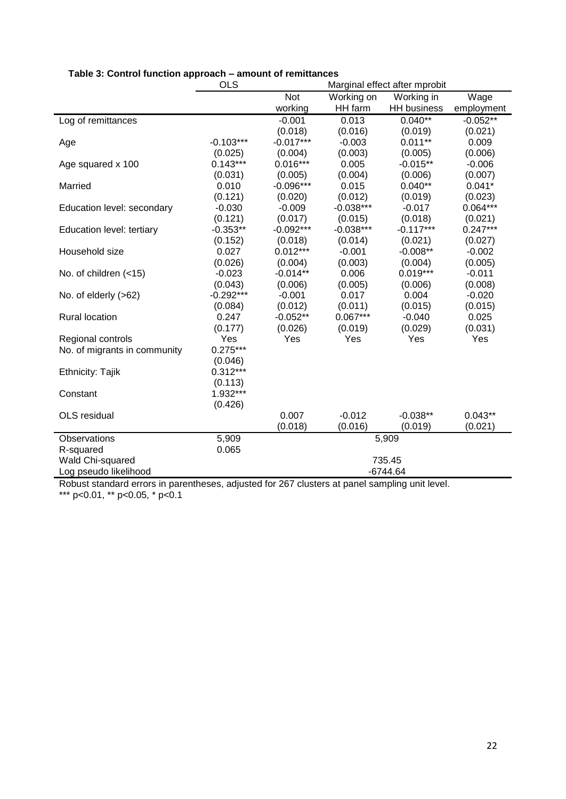|                              | <b>OLS</b>  | Marginal effect after mprobit |             |                    |            |  |  |
|------------------------------|-------------|-------------------------------|-------------|--------------------|------------|--|--|
|                              |             | Not                           | Working on  | Working in         | Wage       |  |  |
|                              |             | working                       | HH farm     | <b>HH</b> business | employment |  |  |
| Log of remittances           |             | $-0.001$                      | 0.013       | $0.040**$          | $-0.052**$ |  |  |
|                              |             | (0.018)                       | (0.016)     | (0.019)            | (0.021)    |  |  |
| Age                          | $-0.103***$ | $-0.017***$                   | $-0.003$    | $0.011**$          | 0.009      |  |  |
|                              | (0.025)     | (0.004)                       | (0.003)     | (0.005)            | (0.006)    |  |  |
| Age squared x 100            | $0.143***$  | $0.016***$                    | 0.005       | $-0.015**$         | $-0.006$   |  |  |
|                              | (0.031)     | (0.005)                       | (0.004)     | (0.006)            | (0.007)    |  |  |
| Married                      | 0.010       | $-0.096***$                   | 0.015       | $0.040**$          | $0.041*$   |  |  |
|                              | (0.121)     | (0.020)                       | (0.012)     | (0.019)            | (0.023)    |  |  |
| Education level: secondary   | $-0.030$    | $-0.009$                      | $-0.038***$ | $-0.017$           | $0.064***$ |  |  |
|                              | (0.121)     | (0.017)                       | (0.015)     | (0.018)            | (0.021)    |  |  |
| Education level: tertiary    | $-0.353**$  | $-0.092***$                   | $-0.038***$ | $-0.117***$        | $0.247***$ |  |  |
|                              | (0.152)     | (0.018)                       | (0.014)     | (0.021)            | (0.027)    |  |  |
| Household size               | 0.027       | $0.012***$                    | $-0.001$    | $-0.008**$         | $-0.002$   |  |  |
|                              | (0.026)     | (0.004)                       | (0.003)     | (0.004)            | (0.005)    |  |  |
| No. of children (<15)        | $-0.023$    | $-0.014**$                    | 0.006       | $0.019***$         | $-0.011$   |  |  |
|                              | (0.043)     | (0.006)                       | (0.005)     | (0.006)            | (0.008)    |  |  |
| No. of elderly $(>62)$       | $-0.292***$ | $-0.001$                      | 0.017       | 0.004              | $-0.020$   |  |  |
|                              | (0.084)     | (0.012)                       | (0.011)     | (0.015)            | (0.015)    |  |  |
| <b>Rural location</b>        | 0.247       | $-0.052**$                    | $0.067***$  | $-0.040$           | 0.025      |  |  |
|                              | (0.177)     | (0.026)                       | (0.019)     | (0.029)            | (0.031)    |  |  |
| Regional controls            | Yes         | Yes                           | Yes         | Yes                | Yes        |  |  |
| No. of migrants in community | $0.275***$  |                               |             |                    |            |  |  |
|                              | (0.046)     |                               |             |                    |            |  |  |
| <b>Ethnicity: Tajik</b>      | $0.312***$  |                               |             |                    |            |  |  |
|                              | (0.113)     |                               |             |                    |            |  |  |
| Constant                     | $1.932***$  |                               |             |                    |            |  |  |
|                              | (0.426)     |                               |             |                    |            |  |  |
| OLS residual                 |             | 0.007                         | $-0.012$    | $-0.038**$         | $0.043**$  |  |  |
|                              |             | (0.018)                       | (0.016)     | (0.019)            | (0.021)    |  |  |
| Observations                 | 5,909       |                               |             | 5,909              |            |  |  |
| R-squared                    | 0.065       |                               |             |                    |            |  |  |
| Wald Chi-squared             |             |                               |             | 735.45             |            |  |  |
| Log pseudo likelihood        |             | $-6744.64$                    |             |                    |            |  |  |

# **Table 3: Control function approach – amount of remittances**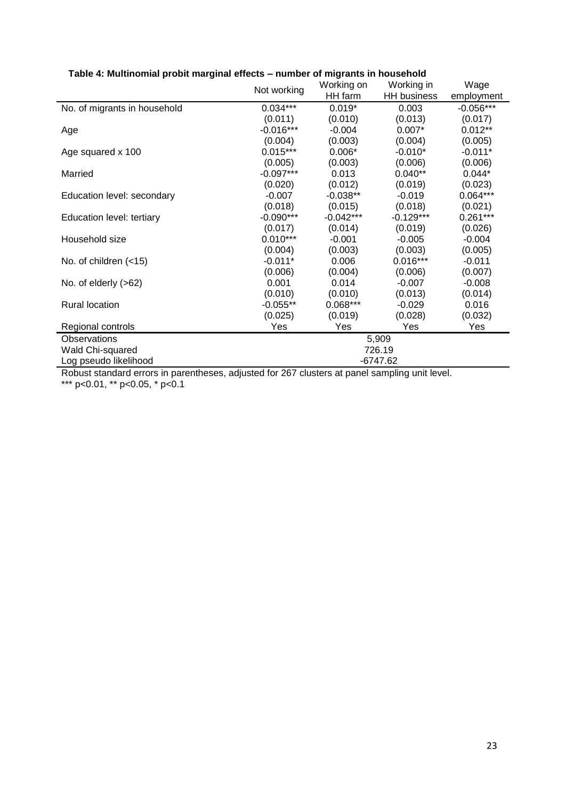|                              | Not working | Working on  | Working in         | Wage        |  |  |
|------------------------------|-------------|-------------|--------------------|-------------|--|--|
|                              |             | HH farm     | <b>HH</b> business | employment  |  |  |
| No. of migrants in household | $0.034***$  | $0.019*$    | 0.003              | $-0.056***$ |  |  |
|                              | (0.011)     | (0.010)     | (0.013)            | (0.017)     |  |  |
| Age                          | $-0.016***$ | $-0.004$    | $0.007*$           | $0.012**$   |  |  |
|                              | (0.004)     | (0.003)     | (0.004)            | (0.005)     |  |  |
| Age squared x 100            | $0.015***$  | $0.006*$    | $-0.010*$          | $-0.011*$   |  |  |
|                              | (0.005)     | (0.003)     | (0.006)            | (0.006)     |  |  |
| Married                      | $-0.097***$ | 0.013       | $0.040**$          | $0.044*$    |  |  |
|                              | (0.020)     | (0.012)     | (0.019)            | (0.023)     |  |  |
| Education level: secondary   | $-0.007$    | $-0.038**$  | $-0.019$           | $0.064***$  |  |  |
|                              | (0.018)     | (0.015)     | (0.018)            | (0.021)     |  |  |
| Education level: tertiary    | $-0.090***$ | $-0.042***$ | $-0.129***$        | $0.261***$  |  |  |
|                              | (0.017)     | (0.014)     | (0.019)            | (0.026)     |  |  |
| Household size               | $0.010***$  | $-0.001$    | $-0.005$           | $-0.004$    |  |  |
|                              | (0.004)     | (0.003)     | (0.003)            | (0.005)     |  |  |
| No. of children $(-15)$      | $-0.011*$   | 0.006       | $0.016***$         | $-0.011$    |  |  |
|                              | (0.006)     | (0.004)     | (0.006)            | (0.007)     |  |  |
| No. of elderly $(>62)$       | 0.001       | 0.014       | $-0.007$           | $-0.008$    |  |  |
|                              | (0.010)     | (0.010)     | (0.013)            | (0.014)     |  |  |
| <b>Rural location</b>        | $-0.055**$  | $0.068***$  | $-0.029$           | 0.016       |  |  |
|                              | (0.025)     | (0.019)     | (0.028)            | (0.032)     |  |  |
| Regional controls            | Yes         | Yes         | Yes                | Yes         |  |  |
| Observations                 | 5,909       |             |                    |             |  |  |
| Wald Chi-squared             | 726.19      |             |                    |             |  |  |
| Log pseudo likelihood        | -6747.62    |             |                    |             |  |  |

## **Table 4: Multinomial probit marginal effects – number of migrants in household**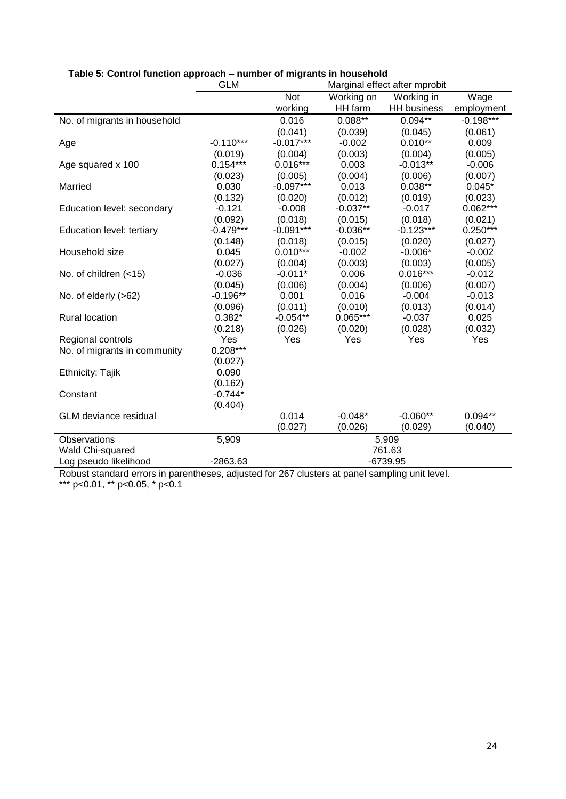|                              | <b>GLM</b>  | Marginal effect after mprobit |            |                    |             |  |  |
|------------------------------|-------------|-------------------------------|------------|--------------------|-------------|--|--|
|                              |             | Not                           | Working on | Working in         | Wage        |  |  |
|                              |             | working                       | HH farm    | <b>HH</b> business | employment  |  |  |
| No. of migrants in household |             | 0.016                         | $0.088**$  | $0.094**$          | $-0.198***$ |  |  |
|                              |             | (0.041)                       | (0.039)    | (0.045)            | (0.061)     |  |  |
| Age                          | $-0.110***$ | $-0.017***$                   | $-0.002$   | $0.010**$          | 0.009       |  |  |
|                              | (0.019)     | (0.004)                       | (0.003)    | (0.004)            | (0.005)     |  |  |
| Age squared x 100            | $0.154***$  | $0.016***$                    | 0.003      | $-0.013**$         | $-0.006$    |  |  |
|                              | (0.023)     | (0.005)                       | (0.004)    | (0.006)            | (0.007)     |  |  |
| Married                      | 0.030       | $-0.097***$                   | 0.013      | $0.038**$          | $0.045*$    |  |  |
|                              | (0.132)     | (0.020)                       | (0.012)    | (0.019)            | (0.023)     |  |  |
| Education level: secondary   | $-0.121$    | $-0.008$                      | $-0.037**$ | $-0.017$           | $0.062***$  |  |  |
|                              | (0.092)     | (0.018)                       | (0.015)    | (0.018)            | (0.021)     |  |  |
| Education level: tertiary    | $-0.479***$ | $-0.091***$                   | $-0.036**$ | $-0.123***$        | $0.250***$  |  |  |
|                              | (0.148)     | (0.018)                       | (0.015)    | (0.020)            | (0.027)     |  |  |
| Household size               | 0.045       | $0.010***$                    | $-0.002$   | $-0.006*$          | $-0.002$    |  |  |
|                              | (0.027)     | (0.004)                       | (0.003)    | (0.003)            | (0.005)     |  |  |
| No. of children $( < 15)$    | $-0.036$    | $-0.011*$                     | 0.006      | $0.016***$         | $-0.012$    |  |  |
|                              | (0.045)     | (0.006)                       | (0.004)    | (0.006)            | (0.007)     |  |  |
| No. of elderly (>62)         | $-0.196**$  | 0.001                         | 0.016      | $-0.004$           | $-0.013$    |  |  |
|                              | (0.096)     | (0.011)                       | (0.010)    | (0.013)            | (0.014)     |  |  |
| <b>Rural location</b>        | $0.382*$    | $-0.054**$                    | $0.065***$ | $-0.037$           | 0.025       |  |  |
|                              | (0.218)     | (0.026)                       | (0.020)    | (0.028)            | (0.032)     |  |  |
| Regional controls            | Yes         | Yes                           | Yes        | Yes                | Yes         |  |  |
| No. of migrants in community | $0.208***$  |                               |            |                    |             |  |  |
|                              | (0.027)     |                               |            |                    |             |  |  |
| Ethnicity: Tajik             | 0.090       |                               |            |                    |             |  |  |
|                              | (0.162)     |                               |            |                    |             |  |  |
| Constant                     | $-0.744*$   |                               |            |                    |             |  |  |
| <b>GLM</b> deviance residual | (0.404)     | 0.014                         | $-0.048*$  | $-0.060**$         | $0.094**$   |  |  |
|                              |             | (0.027)                       | (0.026)    | (0.029)            | (0.040)     |  |  |
|                              |             |                               |            |                    |             |  |  |
| <b>Observations</b>          | 5,909       | 5,909<br>761.63               |            |                    |             |  |  |
| Wald Chi-squared             | $-2863.63$  |                               |            | $-6739.95$         |             |  |  |
| Log pseudo likelihood        |             |                               |            |                    |             |  |  |

## **Table 5: Control function approach – number of migrants in household**